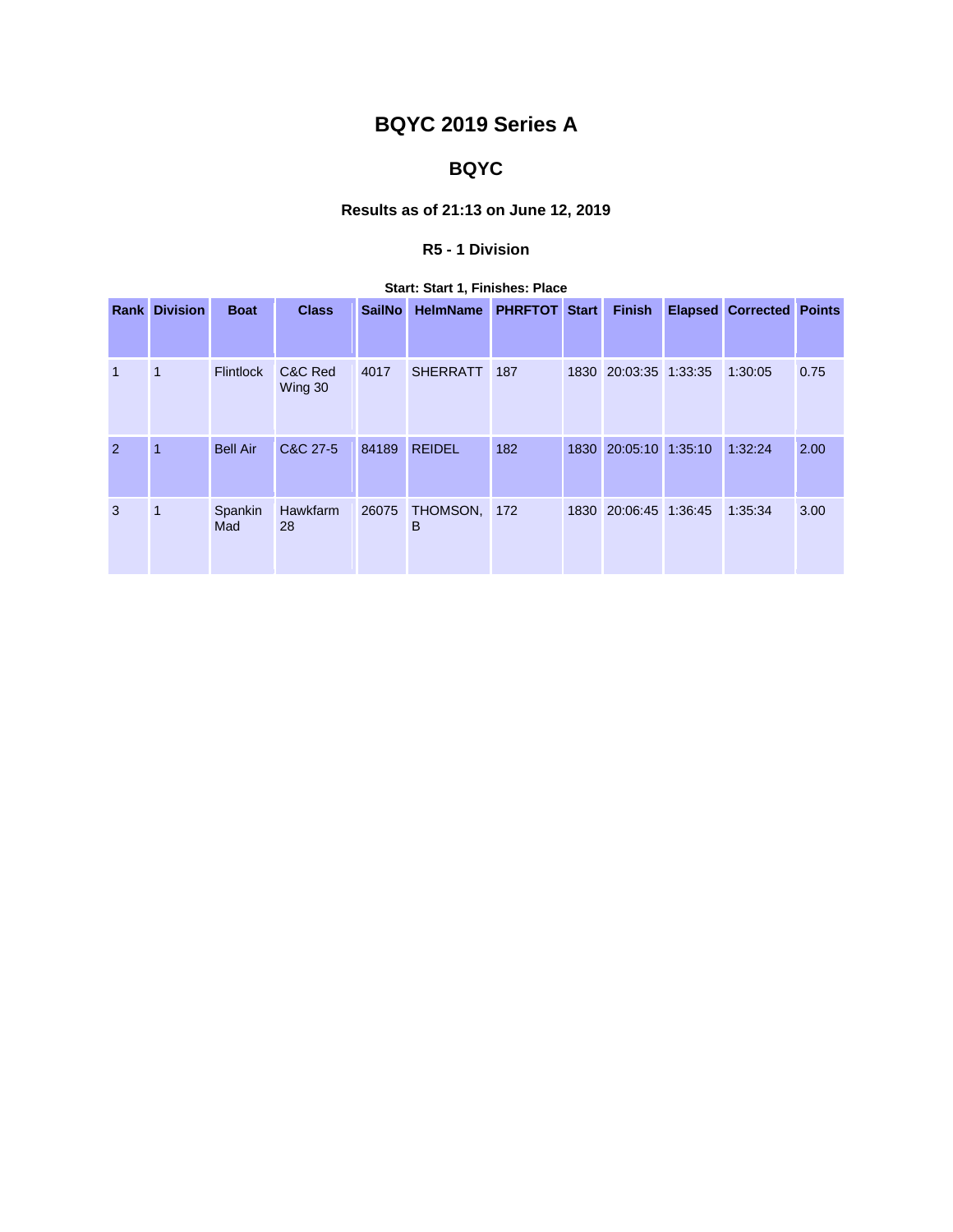# **BQYC 2019 Series A**

# **BQYC**

## **Results as of 21:13 on June 12, 2019**

## **R5 - 1 Division**

|      | <b>Start: Start 1, Finishes: Place</b> |                  |                    |               |                 |                      |      |                  |  |                                 |      |  |
|------|----------------------------------------|------------------|--------------------|---------------|-----------------|----------------------|------|------------------|--|---------------------------------|------|--|
| Rank | <b>Division</b>                        | <b>Boat</b>      | <b>Class</b>       | <b>SailNo</b> | <b>HelmName</b> | <b>PHRFTOT Start</b> |      | <b>Finish</b>    |  | <b>Elapsed Corrected Points</b> |      |  |
|      |                                        |                  |                    |               |                 |                      |      |                  |  |                                 |      |  |
| 1    | $\mathbf{1}$                           | <b>Flintlock</b> | C&C Red<br>Wing 30 | 4017          | <b>SHERRATT</b> | 187                  | 1830 | 20:03:35 1:33:35 |  | 1:30:05                         | 0.75 |  |
| 2    | $\overline{1}$                         | <b>Bell Air</b>  | C&C 27-5           | 84189         | <b>REIDEL</b>   | 182                  | 1830 | 20:05:10 1:35:10 |  | 1:32:24                         | 2.00 |  |
| 3    | $\mathbf 1$                            | Spankin<br>Mad   | Hawkfarm<br>28     | 26075         | THOMSON,<br>B   | 172                  | 1830 | 20:06:45 1:36:45 |  | 1:35:34                         | 3.00 |  |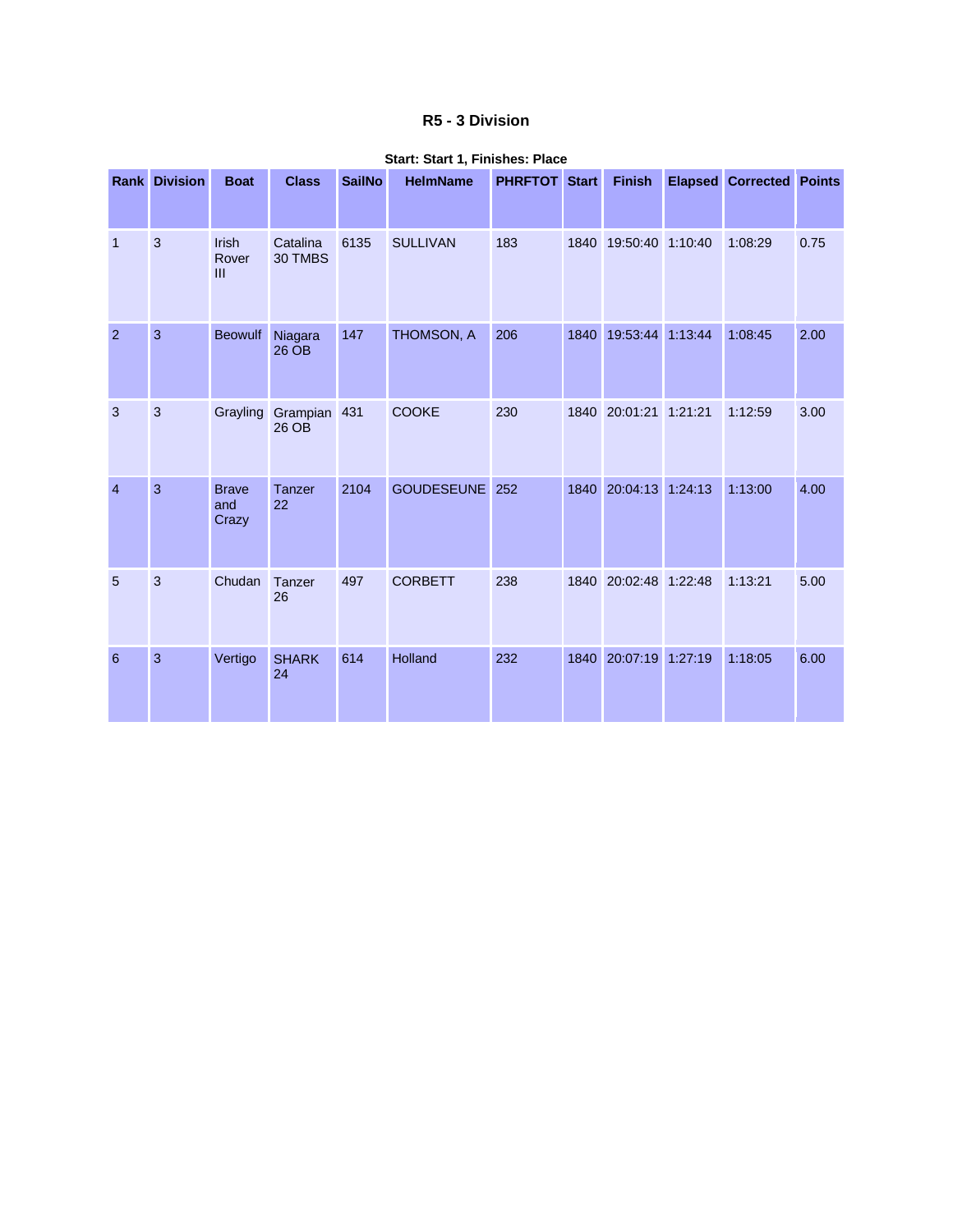#### **R5 - 3 Division**

|                | <b>Rank Division</b> | <b>Boat</b>                  | <b>Class</b>        | <b>SailNo</b> | <b>HelmName</b>   | <b>PHRFTOT Start</b> |      | <b>Finish</b> |         | <b>Elapsed Corrected Points</b> |      |
|----------------|----------------------|------------------------------|---------------------|---------------|-------------------|----------------------|------|---------------|---------|---------------------------------|------|
| $\overline{1}$ | $\mathbf{3}$         | Irish<br>Rover<br>III        | Catalina<br>30 TMBS | 6135          | <b>SULLIVAN</b>   | 183                  | 1840 | 19:50:40      | 1:10:40 | 1:08:29                         | 0.75 |
| $\overline{2}$ | $\overline{3}$       | <b>Beowulf</b>               | Niagara<br>26 OB    | 147           | THOMSON, A        | 206                  | 1840 | 19:53:44      | 1:13:44 | 1:08:45                         | 2.00 |
| 3              | $\mathbf{3}$         | Grayling                     | Grampian<br>26 OB   | 431           | <b>COOKE</b>      | 230                  | 1840 | 20:01:21      | 1:21:21 | 1:12:59                         | 3.00 |
| $\overline{4}$ | 3                    | <b>Brave</b><br>and<br>Crazy | Tanzer<br>22        | 2104          | <b>GOUDESEUNE</b> | 252                  | 1840 | 20:04:13      | 1:24:13 | 1:13:00                         | 4.00 |
| 5              | 3                    | Chudan                       | <b>Tanzer</b><br>26 | 497           | <b>CORBETT</b>    | 238                  | 1840 | 20:02:48      | 1:22:48 | 1:13:21                         | 5.00 |
| 6              | 3                    | Vertigo                      | <b>SHARK</b><br>24  | 614           | Holland           | 232                  | 1840 | 20:07:19      | 1:27:19 | 1:18:05                         | 6.00 |

#### **Start: Start 1, Finishes: Place**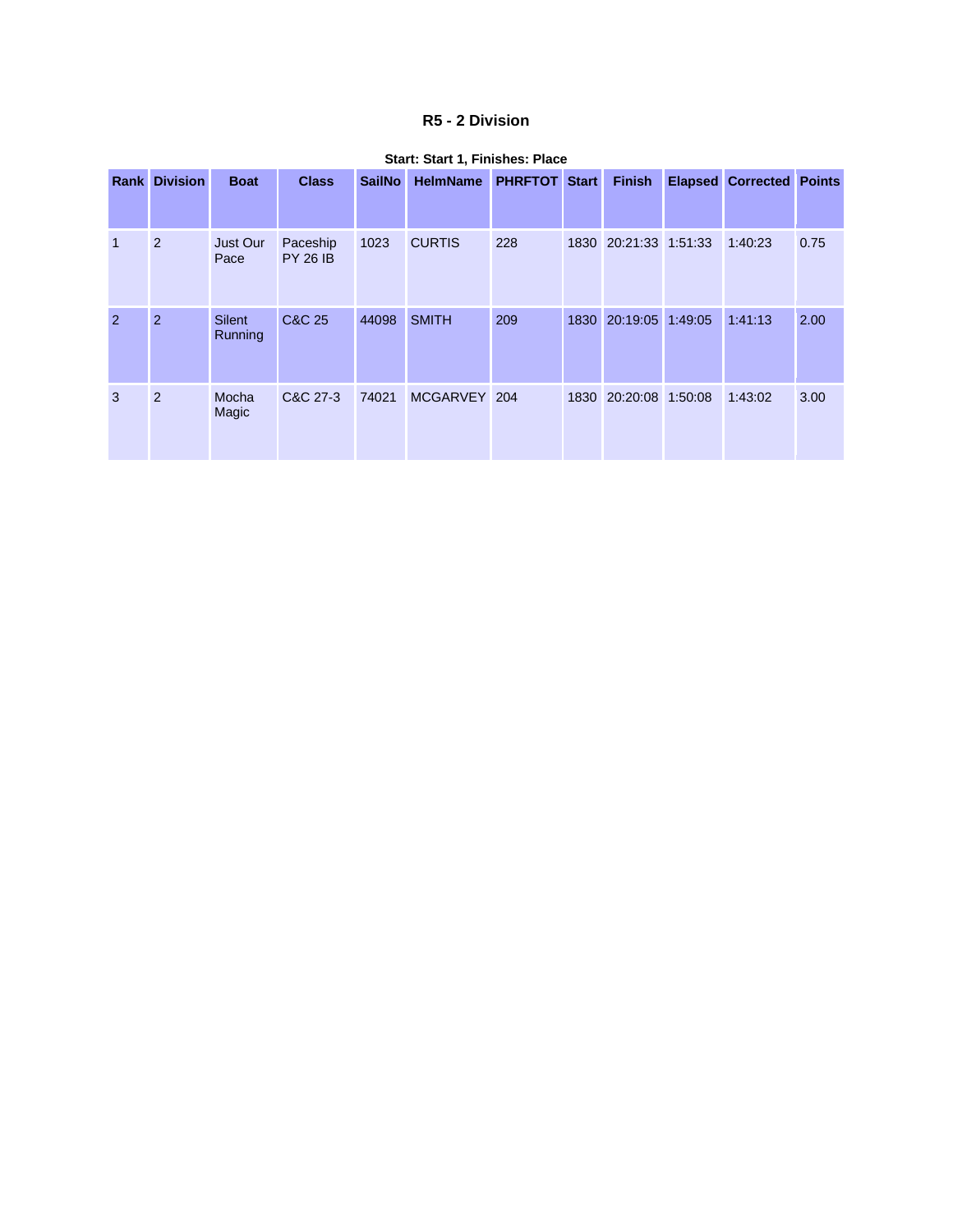#### **R5 - 2 Division**

| Rankl        | <b>Division</b> | <b>Boat</b>              | <b>Class</b>                | <b>SailNo</b> | <b>HelmName</b> | <b>PHRFTOT Start</b> |      | <b>Finish</b>         | <b>Elapsed Corrected Points</b> |      |
|--------------|-----------------|--------------------------|-----------------------------|---------------|-----------------|----------------------|------|-----------------------|---------------------------------|------|
| $\mathbf{1}$ | 2               | Just Our<br>Pace         | Paceship<br><b>PY 26 IB</b> | 1023          | <b>CURTIS</b>   | 228                  |      | 1830 20:21:33 1:51:33 | 1:40:23                         | 0.75 |
| 2            | $\overline{2}$  | <b>Silent</b><br>Running | C&C 25                      | 44098         | <b>SMITH</b>    | 209                  | 1830 | 20:19:05 1:49:05      | 1:41:13                         | 2.00 |
| 3            | 2               | Mocha<br>Magic           | C&C 27-3                    | 74021         | MCGARVEY 204    |                      |      | 1830 20:20:08 1:50:08 | 1:43:02                         | 3.00 |

#### **Start: Start 1, Finishes: Place**